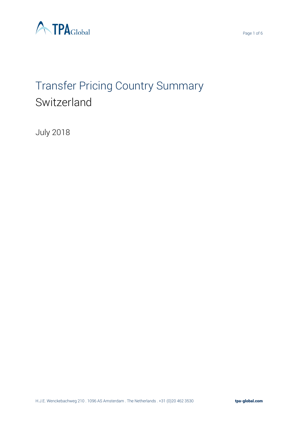



# Transfer Pricing Country Summary Switzerland

July 2018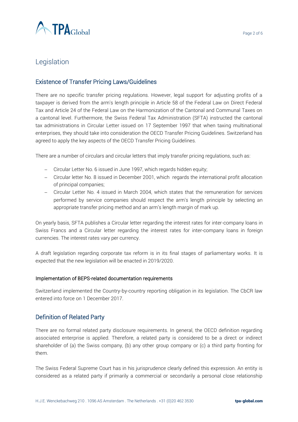

# Legislation

## Existence of Transfer Pricing Laws/Guidelines

There are no specific transfer pricing regulations. However, legal support for adjusting profits of a taxpayer is derived from the arm's length principle in Article 58 of the Federal Law on Direct Federal Tax and Article 24 of the Federal Law on the Harmonization of the Cantonal and Communal Taxes on a cantonal level. Furthermore, the Swiss Federal Tax Administration (SFTA) instructed the cantonal tax administrations in Circular Letter issued on 17 September 1997 that when taxing multinational enterprises, they should take into consideration the OECD Transfer Pricing Guidelines. Switzerland has agreed to apply the key aspects of the OECD Transfer Pricing Guidelines.

There are a number of circulars and circular letters that imply transfer pricing regulations, such as:

- − Circular Letter No. 6 issued in June 1997, which regards hidden equity;
- − Circular letter No. 8 issued in December 2001, which regards the international profit allocation of principal companies;
- − Circular Letter No. 4 issued in March 2004, which states that the remuneration for services performed by service companies should respect the arm's length principle by selecting an appropriate transfer pricing method and an arm's length margin of mark up.

On yearly basis, SFTA publishes a Circular letter regarding the interest rates for inter-company loans in Swiss Francs and a Circular letter regarding the interest rates for inter-company loans in foreign currencies. The interest rates vary per currency.

A draft legislation regarding corporate tax reform is in its final stages of parliamentary works. It is expected that the new legislation will be enacted in 2019/2020.

#### Implementation of BEPS-related documentation requirements

Switzerland implemented the Country-by-country reporting obligation in its legislation. The CbCR law entered into force on 1 December 2017.

## Definition of Related Party

There are no formal related party disclosure requirements. In general, the OECD definition regarding associated enterprise is applied. Therefore, a related party is considered to be a direct or indirect shareholder of (a) the Swiss company, (b) any other group company or (c) a third party fronting for them.

The Swiss Federal Supreme Court has in his jurisprudence clearly defined this expression. An entity is considered as a related party if primarily a commercial or secondarily a personal close relationship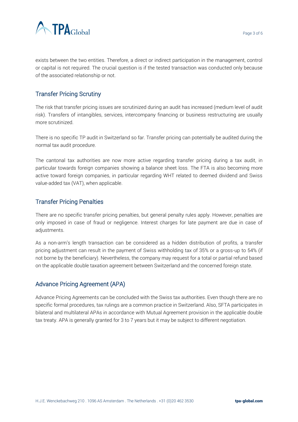

exists between the two entities. Therefore, a direct or indirect participation in the management, control or capital is not required. The crucial question is if the tested transaction was conducted only because of the associated relationship or not.

# Transfer Pricing Scrutiny

The risk that transfer pricing issues are scrutinized during an audit has increased (medium level of audit risk). Transfers of intangibles, services, intercompany financing or business restructuring are usually more scrutinized.

There is no specific TP audit in Switzerland so far. Transfer pricing can potentially be audited during the normal tax audit procedure.

The cantonal tax authorities are now more active regarding transfer pricing during a tax audit, in particular towards foreign companies showing a balance sheet loss. The FTA is also becoming more active toward foreign companies, in particular regarding WHT related to deemed dividend and Swiss value-added tax (VAT), when applicable.

## Transfer Pricing Penalties

There are no specific transfer pricing penalties, but general penalty rules apply. However, penalties are only imposed in case of fraud or negligence. Interest charges for late payment are due in case of adjustments.

As a non-arm's length transaction can be considered as a hidden distribution of profits, a transfer pricing adjustment can result in the payment of Swiss withholding tax of 35% or a gross-up to 54% (if not borne by the beneficiary). Nevertheless, the company may request for a total or partial refund based on the applicable double taxation agreement between Switzerland and the concerned foreign state.

## Advance Pricing Agreement (APA)

Advance Pricing Agreements can be concluded with the Swiss tax authorities. Even though there are no specific formal procedures, tax rulings are a common practice in Switzerland. Also, SFTA participates in bilateral and multilateral APAs in accordance with Mutual Agreement provision in the applicable double tax treaty. APA is generally granted for 3 to 7 years but it may be subject to different negotiation.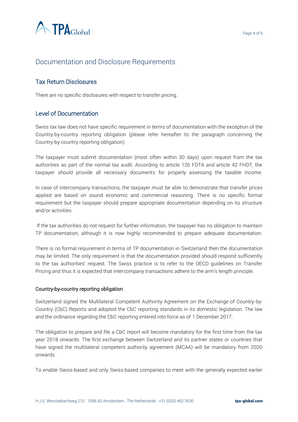

# Documentation and Disclosure Requirements

## Tax Return Disclosures

There are no specific disclosures with respect to transfer pricing.

## Level of Documentation

Swiss tax law does not have specific requirement in terms of documentation with the exception of the Country-by-country reporting obligation (please refer hereafter to the paragraph concerning the Country-by-country reporting obligation).

The taxpayer must submit documentation (most often within 30 days) upon request from the tax authorities as part of the normal tax audit. According to article 126 FDTA and article 42 FHDT, the taxpayer should provide all necessary documents for properly assessing the taxable income.

In case of intercompany transactions, the taxpayer must be able to demonstrate that transfer prices applied are based on sound economic and commercial reasoning. There is no specific formal requirement but the taxpayer should prepare appropriate documentation depending on its structure and/or activities.

If the tax authorities do not request for further information, the taxpayer has no obligation to maintain TP documentation, although it is now highly recommended to prepare adequate documentation.

There is no formal requirement in terms of TP documentation in Switzerland then the documentation may be limited. The only requirement is that the documentation provided should respond sufficiently to the tax authorities' request. The Swiss practice is to refer to the OECD guidelines on Transfer Pricing and thus it is expected that intercompany transactions adhere to the arm's length principle.

#### Country-by-country reporting obligation

Switzerland signed the Multilateral Competent Authority Agreement on the Exchange of Country-by-Country (CbC) Reports and adopted the CbC reporting standards in its domestic legislation. The law and the ordinance regarding the CbC reporting entered into force as of 1 December 2017.

The obligation to prepare and file a CbC report will become mandatory for the first time from the tax year 2018 onwards. The first exchange between Switzerland and its partner states or countries that have signed the multilateral competent authority agreement (MCAA) will be mandatory from 2020 onwards.

To enable Swiss-based and only Swiss-based companies to meet with the generally expected earlier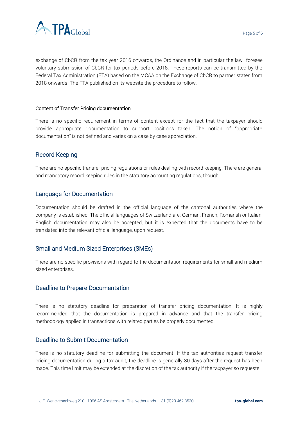



exchange of CbCR from the tax year 2016 onwards, the Ordinance and in particular the law foresee voluntary submission of CbCR for tax periods before 2018. These reports can be transmitted by the Federal Tax Administration (FTA) based on the MCAA on the Exchange of CbCR to partner states from 2018 onwards. The FTA published on its website the procedure to follow.

#### Content of Transfer Pricing documentation

There is no specific requirement in terms of content except for the fact that the taxpayer should provide appropriate documentation to support positions taken. The notion of "appropriate documentation" is not defined and varies on a case by case appreciation.

## Record Keeping

There are no specific transfer pricing regulations or rules dealing with record keeping. There are general and mandatory record keeping rules in the statutory accounting regulations, though.

#### Language for Documentation

Documentation should be drafted in the official language of the cantonal authorities where the company is established. The official languages of Switzerland are: German, French, Romansh or Italian. English documentation may also be accepted, but it is expected that the documents have to be translated into the relevant official language, upon request.

## Small and Medium Sized Enterprises (SMEs)

There are no specific provisions with regard to the documentation requirements for small and medium sized enterprises.

#### Deadline to Prepare Documentation

There is no statutory deadline for preparation of transfer pricing documentation. It is highly recommended that the documentation is prepared in advance and that the transfer pricing methodology applied in transactions with related parties be properly documented.

#### Deadline to Submit Documentation

There is no statutory deadline for submitting the document. If the tax authorities request transfer pricing documentation during a tax audit, the deadline is generally 30 days after the request has been made. This time limit may be extended at the discretion of the tax authority if the taxpayer so requests.